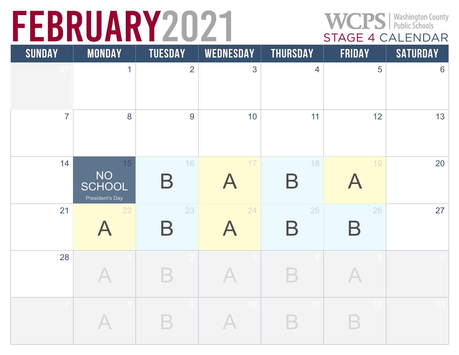# FEBRUARY2021 WCPS Public Schools

| <b>SUNDAY</b>  | <b>MONDAY</b>                         | <b>TUESDAY</b>          | <b>WEDNESDAY</b>                | <b>THURSDAY</b>   | <b>FRIDAY</b>     | <b>SATURDAY</b> |
|----------------|---------------------------------------|-------------------------|---------------------------------|-------------------|-------------------|-----------------|
|                | $\mathbf{1}$                          | $\overline{2}$          | 3                               | $\overline{4}$    | 5                 | $6\phantom{a}$  |
| $\overline{7}$ | 8                                     | 9                       | 10                              | 11                | 12                | 13              |
| 14             | 15<br>NO<br>SCHOOL<br>President's Day | 16<br>$\bm{\mathsf{B}}$ | $17$                            | 18<br>$\mathsf B$ | 19                | 20              |
| 21             | 22<br>$\boldsymbol{\mathsf{A}}$       | 23<br>$\mathsf B$       | 24<br>$\boldsymbol{\mathsf{A}}$ | 25<br>$\mathsf B$ | 26<br>$\mathsf B$ | 27              |
| 28             |                                       |                         |                                 |                   |                   |                 |
|                |                                       |                         | 10                              | 11                |                   | 13              |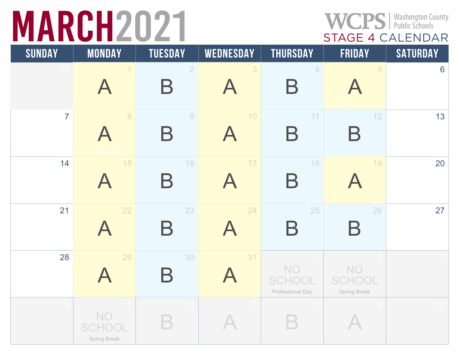# WCPS | Washington County<br>
STAGE 4 CALENDAR

| <b>SUNDAY</b>   | <b>MONDAY</b>                              | <b>TUESDAY</b>                      | WEDNESDAY                       | <b>THURSDAY</b>                                | <b>FRIDAY</b>                              | <b>SATURDAY</b> |
|-----------------|--------------------------------------------|-------------------------------------|---------------------------------|------------------------------------------------|--------------------------------------------|-----------------|
| 28 <sub>1</sub> | A                                          | $\overline{2}$<br>$\bm{\mathsf{B}}$ | 3                               | $\overline{4}$<br>Β                            | 5                                          | 6               |
| $\overline{7}$  | $\delta$<br>$\boldsymbol{\mathsf{A}}$      | 9<br>$\bm{\mathsf{B}}$              | 10                              | 11<br>$\bm{\mathsf{B}}$                        | 12<br>$\bm{\mathsf{B}}$                    | 13              |
| 14              | 15<br>$\boldsymbol{\mathsf{A}}$            | 16<br>$\bm{\mathsf{B}}$             | $17$                            | 18<br>$\mathsf B$                              | 19                                         | 20              |
| 21              | 22<br>$\boldsymbol{\mathsf{A}}$            | 23<br>$\mathsf B$                   | 24                              | 25<br>$\bm{\mathsf{B}}$                        | 26<br>$\mathsf B$                          | 27              |
| 28              | 29<br>$\boldsymbol{\mathsf{A}}$            | 30<br>$\bm{\mathsf{B}}$             | 31<br>$\boldsymbol{\mathsf{A}}$ | <b>NO</b><br><b>SCHOOL</b><br>Professional Day | <b>NO</b><br><b>SCHOOL</b><br>Spring Break |                 |
|                 | <b>NO</b><br><b>SCHOOL</b><br>Spring Break |                                     |                                 |                                                |                                            | 10 <sub>1</sub> |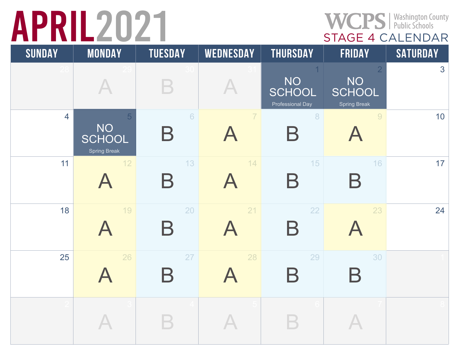# RIL2021 WCPS | Washington County<br>STAGE 4 CALENDAR

| <b>SUNDAY</b>  | <b>MONDAY</b>                                                | <b>TUESDAY</b>                      | <b>WEDNESDAY</b>                | <b>THURSDAY</b>                                       | <b>FRIDAY</b>                                                       | SATURDAY |
|----------------|--------------------------------------------------------------|-------------------------------------|---------------------------------|-------------------------------------------------------|---------------------------------------------------------------------|----------|
|                |                                                              |                                     |                                 | <b>NO</b><br><b>SCHOOL</b><br><b>Professional Day</b> | $\overline{2}$<br><b>NO</b><br><b>SCHOOL</b><br><b>Spring Break</b> | 3        |
| $\overline{4}$ | $\overline{5}$<br><b>NO</b><br><b>SCHOOL</b><br>Spring Break | $6\phantom{a}$<br>$\bm{\mathsf{B}}$ | 7                               | 8<br>$\bm{\mathsf{B}}$                                | $\overline{9}$                                                      | 10       |
| 11             | 12<br>$\blacktriangle$                                       | 13<br>$\bm{\mathsf{B}}$             | 14<br>$\blacktriangle$          | 15<br>$\mathsf B$                                     | 16<br>Β                                                             | 17       |
| 18             | 19<br>A                                                      | 20<br>$\bm{\mathsf{B}}$             | 21<br>$\boldsymbol{\mathsf{A}}$ | 22<br>$\mathsf B$                                     | 23<br>$\blacktriangle$                                              | 24       |
| 25             | 26                                                           | 27<br>$\bm{\mathsf{B}}$             | 28                              | 29<br>$\bm{\mathsf{B}}$                               | 30<br>$\bm{\mathsf{B}}$                                             |          |
|                |                                                              |                                     |                                 |                                                       |                                                                     |          |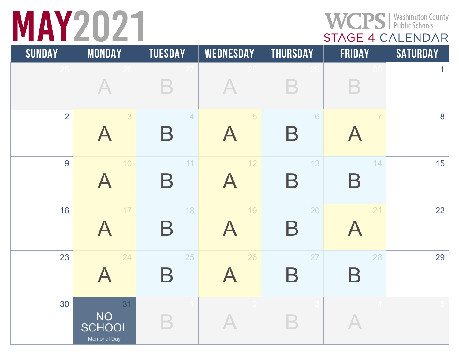#### WCPS | Washington County<br>
STAGE 4 CALENDAR

| <b>SUNDAY</b>  | <b>MONDAY</b>                                    | <b>TUESDAY</b>                      | <b>WEDNESDAY</b>                | <b>THURSDAY</b>                 | <b>FRIDAY</b>                   | <b>SATURDAY</b> |
|----------------|--------------------------------------------------|-------------------------------------|---------------------------------|---------------------------------|---------------------------------|-----------------|
|                |                                                  |                                     |                                 |                                 |                                 | $\mathbf{1}$    |
| $\overline{2}$ | 3<br>$\boldsymbol{\mathsf{A}}$                   | $\overline{4}$<br>$\bm{\mathsf{B}}$ | 5                               | $6\phantom{.}6$<br>$\sf B$      | $\overline{7}$                  | 8               |
| 9              | $10$<br>$\boldsymbol{\mathsf{A}}$                | 11<br>$\mathsf B$                   | 12                              | 13<br>$\bm{\mathsf{B}}$         | 14<br>B                         | 15              |
| 16             | $17$<br>$\boldsymbol{\mathsf{A}}$                | 18<br>$\bm{\mathsf{B}}$             | 19<br>$\boldsymbol{\mathsf{A}}$ | 20<br>$\boldsymbol{\mathsf{B}}$ | 21<br>$\boldsymbol{\mathsf{A}}$ | 22              |
| 23             | 24<br>$\boldsymbol{\mathsf{A}}$                  | 25<br>$\bm{\mathsf{B}}$             | 26                              | 27<br>$\bm{\mathsf{B}}$         | 28<br>$\bm{\mathsf{B}}$         | 29              |
| 30             | 31<br><b>NO</b><br><b>SCHOOL</b><br>Memorial Day |                                     |                                 |                                 |                                 |                 |